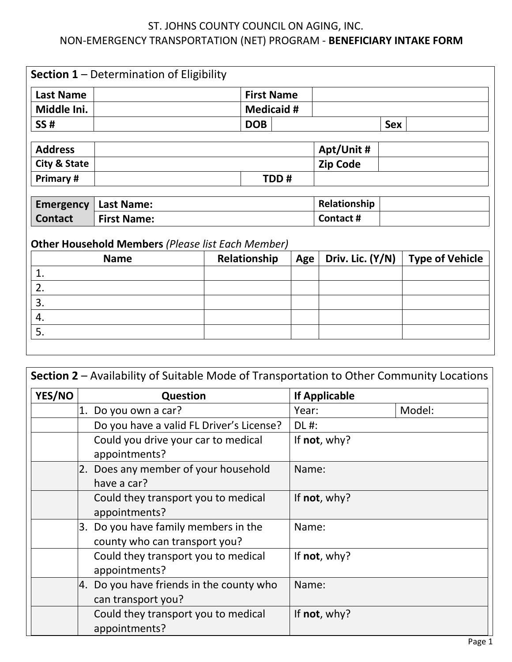## ST. JOHNS COUNTY COUNCIL ON AGING, INC. NON-EMERGENCY TRANSPORTATION (NET) PROGRAM - **BENEFICIARY INTAKE FORM**

|                         | <b>Section 1</b> – Determination of Eligibility          |  |                   |           |                  |            |                        |
|-------------------------|----------------------------------------------------------|--|-------------------|-----------|------------------|------------|------------------------|
| <b>Last Name</b>        |                                                          |  | <b>First Name</b> |           |                  |            |                        |
| Middle Ini.             |                                                          |  | <b>Medicaid #</b> |           |                  |            |                        |
| <b>SS#</b>              |                                                          |  | <b>DOB</b>        |           |                  | <b>Sex</b> |                        |
| <b>Address</b>          |                                                          |  |                   |           | Apt/Unit #       |            |                        |
| <b>City &amp; State</b> |                                                          |  |                   |           | <b>Zip Code</b>  |            |                        |
| Primary #               |                                                          |  |                   | TDD#      |                  |            |                        |
| <b>Emergency</b>        | <b>Last Name:</b>                                        |  |                   |           | Relationship     |            |                        |
| <b>Contact</b>          | <b>First Name:</b>                                       |  |                   | Contact # |                  |            |                        |
|                         | <b>Other Household Members (Please list Each Member)</b> |  |                   |           |                  |            |                        |
|                         | <b>Name</b>                                              |  | Relationship      | Age       | Driv. Lic. (Y/N) |            | <b>Type of Vehicle</b> |
| 1.                      |                                                          |  |                   |           |                  |            |                        |
| 2.                      |                                                          |  |                   |           |                  |            |                        |
| 3.                      |                                                          |  |                   |           |                  |            |                        |
| 4.                      |                                                          |  |                   |           |                  |            |                        |
|                         |                                                          |  |                   |           |                  |            |                        |

|        |                                                                       | Section 2 – Availability of Suitable Mode of Transportation to Other Community Locations |
|--------|-----------------------------------------------------------------------|------------------------------------------------------------------------------------------|
| YES/NO | <b>Question</b>                                                       | <b>If Applicable</b>                                                                     |
|        | Do you own a car?<br>1.                                               | Model:<br>Year:                                                                          |
|        | Do you have a valid FL Driver's License?                              | DL #:                                                                                    |
|        | Could you drive your car to medical<br>appointments?                  | If $not, why?$                                                                           |
|        | 2. Does any member of your household<br>have a car?                   | Name:                                                                                    |
|        | Could they transport you to medical<br>appointments?                  | If not, why?                                                                             |
|        | 3. Do you have family members in the<br>county who can transport you? | Name:                                                                                    |
|        | Could they transport you to medical<br>appointments?                  | If not, why?                                                                             |
|        | 4. Do you have friends in the county who<br>can transport you?        | Name:                                                                                    |
|        | Could they transport you to medical<br>appointments?                  | If not, why?                                                                             |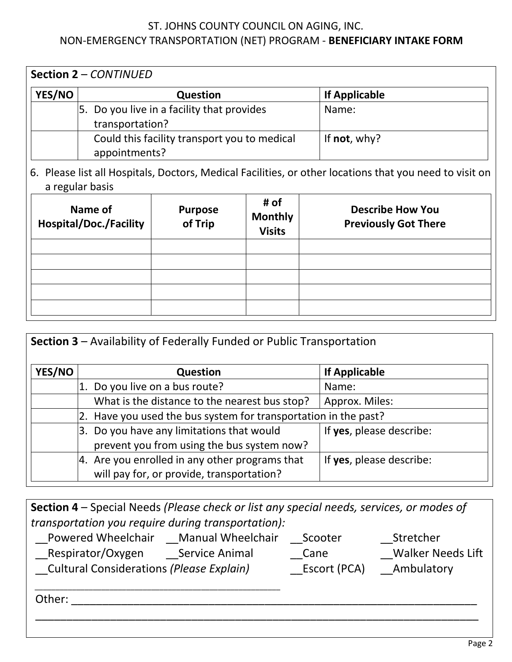## ST. JOHNS COUNTY COUNCIL ON AGING, INC. NON-EMERGENCY TRANSPORTATION (NET) PROGRAM - **BENEFICIARY INTAKE FORM**

| <b>Section 2 - CONTINUED</b> |                                              |                      |  |  |
|------------------------------|----------------------------------------------|----------------------|--|--|
| <b>YES/NO</b>                | <b>Question</b>                              | <b>If Applicable</b> |  |  |
|                              | 5. Do you live in a facility that provides   | Name:                |  |  |
|                              | transportation?                              |                      |  |  |
|                              | Could this facility transport you to medical | If not, why?         |  |  |
|                              | appointments?                                |                      |  |  |

6. Please list all Hospitals, Doctors, Medical Facilities, or other locations that you need to visit on a regular basis

| Name of<br><b>Hospital/Doc./Facility</b> | <b>Purpose</b><br>of Trip | # of<br><b>Monthly</b><br><b>Visits</b> | <b>Describe How You</b><br><b>Previously Got There</b> |
|------------------------------------------|---------------------------|-----------------------------------------|--------------------------------------------------------|
|                                          |                           |                                         |                                                        |
|                                          |                           |                                         |                                                        |
|                                          |                           |                                         |                                                        |
|                                          |                           |                                         |                                                        |
|                                          |                           |                                         |                                                        |

|        | Section 3 - Availability of Federally Funded or Public Transportation                          |                          |
|--------|------------------------------------------------------------------------------------------------|--------------------------|
| YES/NO | <b>Question</b>                                                                                | <b>If Applicable</b>     |
|        | Do you live on a bus route?                                                                    | Name:                    |
|        | What is the distance to the nearest bus stop?                                                  | Approx. Miles:           |
|        | 2. Have you used the bus system for transportation in the past?                                |                          |
|        | 3. Do you have any limitations that would<br>prevent you from using the bus system now?        | If yes, please describe: |
|        | $ 4.$ Are you enrolled in any other programs that<br>will pay for, or provide, transportation? | If yes, please describe: |

| Section 4 – Special Needs (Please check or list any special needs, services, or modes of |              |                          |
|------------------------------------------------------------------------------------------|--------------|--------------------------|
| transportation you require during transportation):                                       |              |                          |
| Powered Wheelchair Manual Wheelchair                                                     | Scooter      | Stretcher                |
| Respirator/Oxygen Service Animal                                                         | Cane         | <b>Walker Needs Lift</b> |
| <b>Cultural Considerations (Please Explain)</b>                                          | Escort (PCA) | Ambulatory               |
|                                                                                          |              |                          |
| Other:                                                                                   |              |                          |
|                                                                                          |              |                          |

l